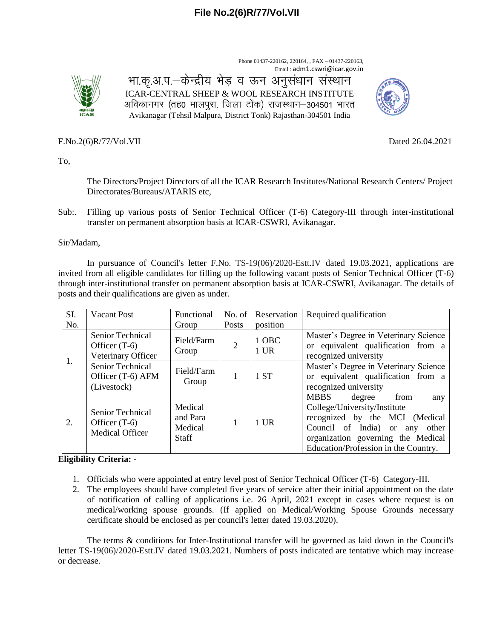Phone 01437-220162, 220164, , FAX – 01437-220163, Email : adm1.cswri@icar.gov.in



भा.कृ.अ.प.–केन्द्रीय भेड़ व ऊन अनुसंधान संस्थान ICAR-CENTRAL SHEEP & WOOL RESEARCH INSTITUTE अविकानगर (तह0 मालपुरा, जिला टोंक) राजस्थान–304501 भारत Avikanagar (Tehsil Malpura, District Tonk) Rajasthan-304501 India



F.No[.2\(6\)R/77/Vol.VII](https://eoffice.icar.gov.in/eFile/?x=YVGu5fdyPopamAsvwFtqJWrV2xAUmKw0) Dated 26.04.2021

To,

The Directors/Project Directors of all the ICAR Research Institutes/National Research Centers/ Project Directorates/Bureaus/ATARIS etc,

Sub:. Filling up various posts of Senior Technical Officer (T-6) Category-III through inter-institutional transfer on permanent absorption basis at ICAR-CSWRI, Avikanagar.

#### Sir/Madam,

In pursuance of Council's letter F.No. TS-19(06)/2020-Estt.IV dated 19.03.2021, applications are invited from all eligible candidates for filling up the following vacant posts of Senior Technical Officer (T-6) through inter-institutional transfer on permanent absorption basis at ICAR-CSWRI, Avikanagar. The details of posts and their qualifications are given as under.

| SI. | <b>Vacant Post</b>                                            | Functional                                     | No. of         | Reservation     | Required qualification                                                                                                                                                                                                       |  |  |
|-----|---------------------------------------------------------------|------------------------------------------------|----------------|-----------------|------------------------------------------------------------------------------------------------------------------------------------------------------------------------------------------------------------------------------|--|--|
| No. |                                                               | Group                                          | Posts          | position        |                                                                                                                                                                                                                              |  |  |
|     | Senior Technical<br>Officer $(T-6)$<br>Veterinary Officer     | Field/Farm<br>Group                            | $\overline{2}$ | 1 OBC<br>$1$ UR | Master's Degree in Veterinary Science<br>or equivalent qualification from a<br>recognized university                                                                                                                         |  |  |
| 1.  | Senior Technical<br>Officer (T-6) AFM<br>(Livestock)          | Field/Farm<br>Group                            |                | 1 ST            | Master's Degree in Veterinary Science<br>or equivalent qualification from a<br>recognized university                                                                                                                         |  |  |
| 2.  | Senior Technical<br>Officer $(T-6)$<br><b>Medical Officer</b> | Medical<br>and Para<br>Medical<br><b>Staff</b> |                | $1$ UR          | <b>MBBS</b><br>from<br>degree<br>any<br>College/University/Institute<br>recognized by the MCI (Medical<br>Council of India) or<br>other<br>any<br>organization governing the Medical<br>Education/Profession in the Country. |  |  |

## **Eligibility Criteria: -**

- 1. Officials who were appointed at entry level post of Senior Technical Officer (T-6) Category-III.
- 2. The employees should have completed five years of service after their initial appointment on the date of notification of calling of applications i.e. 26 April, 2021 except in cases where request is on medical/working spouse grounds. (If applied on Medical/Working Spouse Grounds necessary certificate should be enclosed as per council's letter dated 19.03.2020).

The terms & conditions for Inter-Institutional transfer will be governed as laid down in the Council's letter TS-19(06)/2020-Estt.IV dated 19.03.2021. Numbers of posts indicated are tentative which may increase or decrease.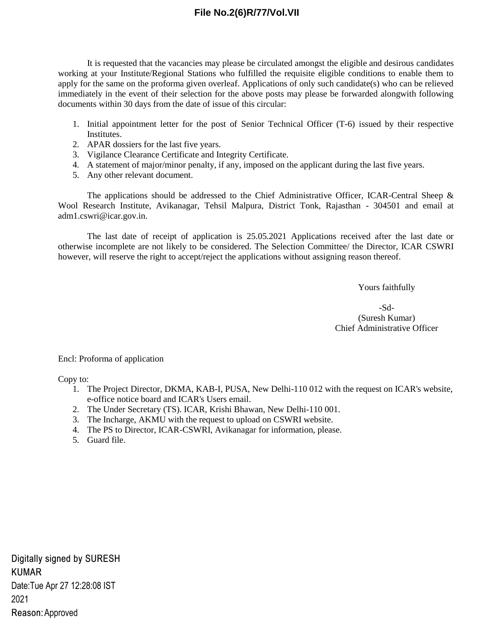# **File No.2(6)R/77/Vol.VII**

It is requested that the vacancies may please be circulated amongst the eligible and desirous candidates working at your Institute/Regional Stations who fulfilled the requisite eligible conditions to enable them to apply for the same on the proforma given overleaf. Applications of only such candidate(s) who can be relieved immediately in the event of their selection for the above posts may please be forwarded alongwith following documents within 30 days from the date of issue of this circular:

- 1. Initial appointment letter for the post of Senior Technical Officer (T-6) issued by their respective Institutes.
- 2. APAR dossiers for the last five years.
- 3. Vigilance Clearance Certificate and Integrity Certificate.
- 4. A statement of major/minor penalty, if any, imposed on the applicant during the last five years.
- 5. Any other relevant document.

The applications should be addressed to the Chief Administrative Officer, ICAR-Central Sheep  $\&$ Wool Research Institute, Avikanagar, Tehsil Malpura, District Tonk, Rajasthan - 304501 and email at adm1.cswri@icar.gov.in.

The last date of receipt of application is 25.05.2021 Applications received after the last date or otherwise incomplete are not likely to be considered. The Selection Committee/ the Director, ICAR CSWRI however, will reserve the right to accept/reject the applications without assigning reason thereof.

Yours faithfully

-Sd- (Suresh Kumar) Chief Administrative Officer

Encl: Proforma of application

Copy to:

- 1. The Project Director, DKMA, KAB-I, PUSA, New Delhi-110 012 with the request on ICAR's website, e-office notice board and ICAR's Users email.
- 2. The Under Secretary (TS). ICAR, Krishi Bhawan, New Delhi-110 001.
- 3. The Incharge, AKMU with the request to upload on CSWRI website.
- 4. The PS to Director, ICAR-CSWRI, Avikanagar for information, please.
- 5. Guard file.

Digitally signed by SURESH **KUMAR** Date: Tue Apr 27 12:28:08 IST 2021 Reason: Approved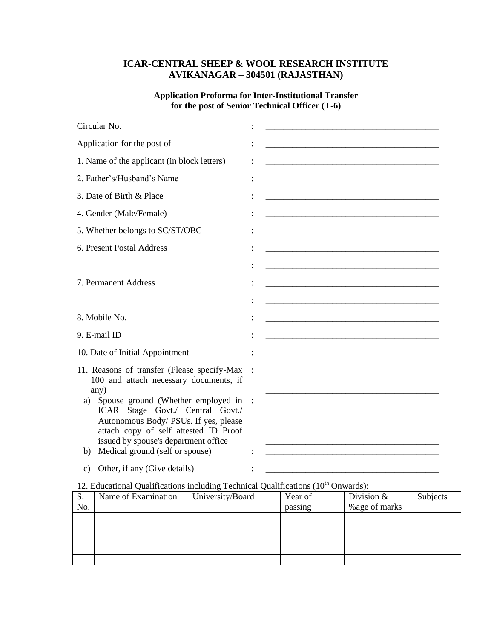# **ICAR-CENTRAL SHEEP & WOOL RESEARCH INSTITUTE AVIKANAGAR – 304501 (RAJASTHAN)**

## **Application Proforma for Inter-Institutional Transfer for the post of Senior Technical Officer (T-6)**

| Circular No.                                                                                                                                                                                                                                    |                                                                                                                       |
|-------------------------------------------------------------------------------------------------------------------------------------------------------------------------------------------------------------------------------------------------|-----------------------------------------------------------------------------------------------------------------------|
| Application for the post of                                                                                                                                                                                                                     |                                                                                                                       |
| 1. Name of the applicant (in block letters)                                                                                                                                                                                                     | <u> 1989 - Johann John Stone, mars eta bat eta bat eta bat eta bat eta bat ez arte eta bat ez arte eta bat ez a</u>   |
| 2. Father's/Husband's Name                                                                                                                                                                                                                      |                                                                                                                       |
| 3. Date of Birth & Place                                                                                                                                                                                                                        |                                                                                                                       |
| 4. Gender (Male/Female)                                                                                                                                                                                                                         |                                                                                                                       |
| 5. Whether belongs to SC/ST/OBC                                                                                                                                                                                                                 | <u> 1989 - Johann Barn, mars ar breithinn ar chwaraeth a bhaile ann an t-ainm an t-ainm an t-ainm ann an t-ainm a</u> |
| 6. Present Postal Address                                                                                                                                                                                                                       |                                                                                                                       |
| 7. Permanent Address                                                                                                                                                                                                                            |                                                                                                                       |
|                                                                                                                                                                                                                                                 |                                                                                                                       |
| 8. Mobile No.                                                                                                                                                                                                                                   |                                                                                                                       |
| 9. E-mail ID                                                                                                                                                                                                                                    |                                                                                                                       |
| 10. Date of Initial Appointment                                                                                                                                                                                                                 |                                                                                                                       |
| 11. Reasons of transfer (Please specify-Max<br>100 and attach necessary documents, if<br>any)                                                                                                                                                   |                                                                                                                       |
| Spouse ground (Whether employed in<br>a)<br>ICAR Stage Govt./ Central Govt./<br>Autonomous Body/ PSUs. If yes, please<br>attach copy of self attested ID Proof<br>issued by spouse's department office<br>Medical ground (self or spouse)<br>b) |                                                                                                                       |
| Other, if any (Give details)<br>c)                                                                                                                                                                                                              | <u> 1980 - Johann Stein, mars eta biztanleria (</u>                                                                   |

# 12. Educational Qualifications including Technical Qualifications  $(10<sup>th</sup>$  Onwards):

| S.  | Name of Examination | University/Board | Year of | Division $&$   |  | Subjects |  |
|-----|---------------------|------------------|---------|----------------|--|----------|--|
| No. |                     |                  | passing | % age of marks |  |          |  |
|     |                     |                  |         |                |  |          |  |
|     |                     |                  |         |                |  |          |  |
|     |                     |                  |         |                |  |          |  |
|     |                     |                  |         |                |  |          |  |
|     |                     |                  |         |                |  |          |  |